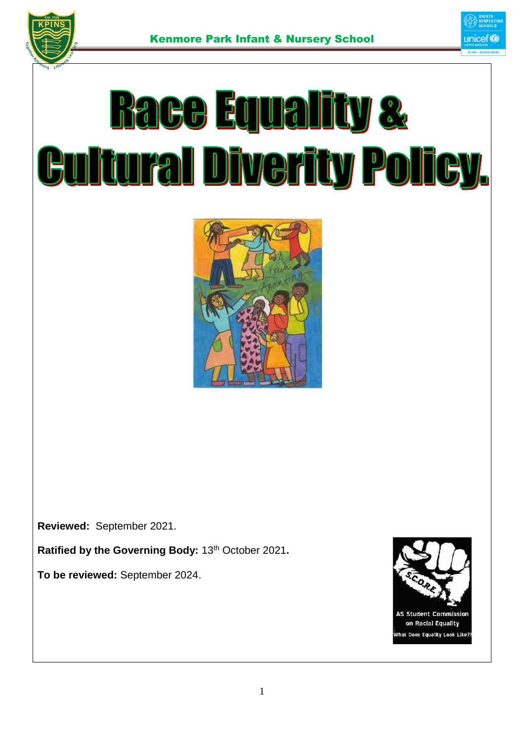

# **Race Equality & Fural Diverity Policy.** ľ



**Reviewed:** September 2021.

**Ratified by the Governing Body:** 13th October 2021**.**

**To be reviewed:** September 2024.

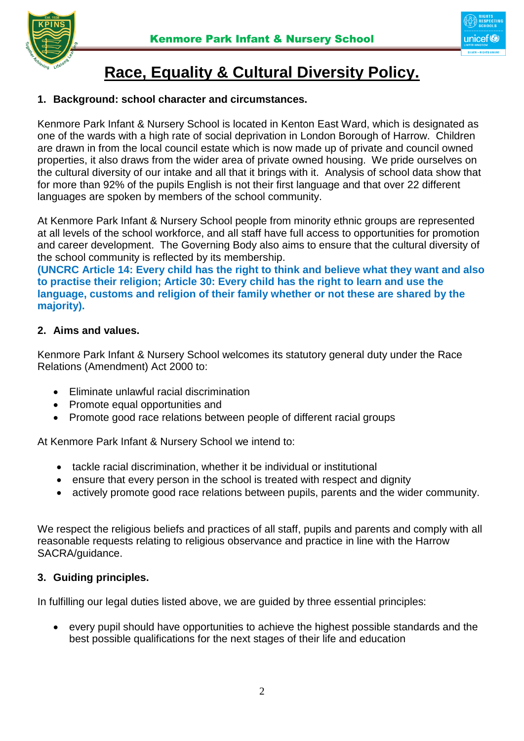

## **Race, Equality & Cultural Diversity Policy.**

#### **1. Background: school character and circumstances.**

Kenmore Park Infant & Nursery School is located in Kenton East Ward, which is designated as one of the wards with a high rate of social deprivation in London Borough of Harrow. Children are drawn in from the local council estate which is now made up of private and council owned properties, it also draws from the wider area of private owned housing. We pride ourselves on the cultural diversity of our intake and all that it brings with it. Analysis of school data show that for more than 92% of the pupils English is not their first language and that over 22 different languages are spoken by members of the school community.

At Kenmore Park Infant & Nursery School people from minority ethnic groups are represented at all levels of the school workforce, and all staff have full access to opportunities for promotion and career development. The Governing Body also aims to ensure that the cultural diversity of the school community is reflected by its membership.

**(UNCRC Article 14: Every child has the right to think and believe what they want and also to practise their religion; Article 30: Every child has the right to learn and use the language, customs and religion of their family whether or not these are shared by the majority).**

#### **2. Aims and values.**

Kenmore Park Infant & Nursery School welcomes its statutory general duty under the Race Relations (Amendment) Act 2000 to:

- Eliminate unlawful racial discrimination
- Promote equal opportunities and
- Promote good race relations between people of different racial groups

At Kenmore Park Infant & Nursery School we intend to:

- tackle racial discrimination, whether it be individual or institutional
- ensure that every person in the school is treated with respect and dignity
- actively promote good race relations between pupils, parents and the wider community.

We respect the religious beliefs and practices of all staff, pupils and parents and comply with all reasonable requests relating to religious observance and practice in line with the Harrow SACRA/guidance.

#### **3. Guiding principles.**

In fulfilling our legal duties listed above, we are guided by three essential principles:

 every pupil should have opportunities to achieve the highest possible standards and the best possible qualifications for the next stages of their life and education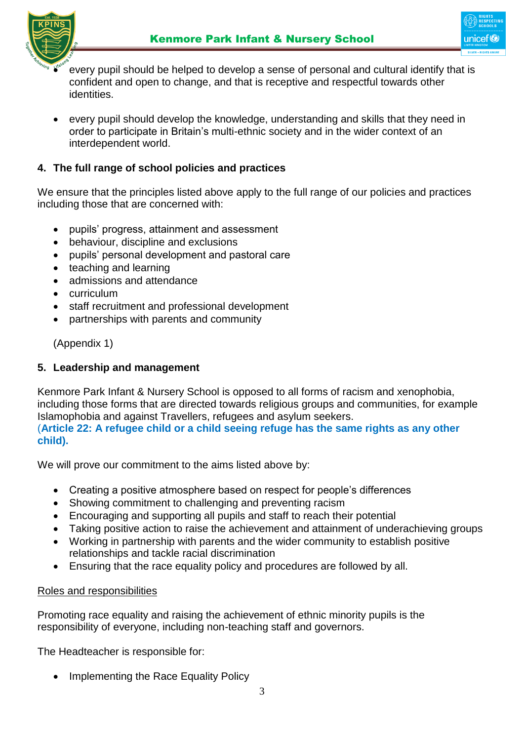

- ⊔niceft
- every pupil should be helped to develop a sense of personal and cultural identify that is confident and open to change, and that is receptive and respectful towards other identities.
- every pupil should develop the knowledge, understanding and skills that they need in order to participate in Britain's multi-ethnic society and in the wider context of an interdependent world.

#### **4. The full range of school policies and practices**

We ensure that the principles listed above apply to the full range of our policies and practices including those that are concerned with:

- pupils' progress, attainment and assessment
- behaviour, discipline and exclusions
- pupils' personal development and pastoral care
- teaching and learning
- admissions and attendance
- curriculum
- staff recruitment and professional development
- partnerships with parents and community

(Appendix 1)

#### **5. Leadership and management**

Kenmore Park Infant & Nursery School is opposed to all forms of racism and xenophobia, including those forms that are directed towards religious groups and communities, for example Islamophobia and against Travellers, refugees and asylum seekers.

(**Article 22: A refugee child or a child seeing refuge has the same rights as any other child).**

We will prove our commitment to the aims listed above by:

- Creating a positive atmosphere based on respect for people's differences
- Showing commitment to challenging and preventing racism
- Encouraging and supporting all pupils and staff to reach their potential
- Taking positive action to raise the achievement and attainment of underachieving groups
- Working in partnership with parents and the wider community to establish positive relationships and tackle racial discrimination
- Ensuring that the race equality policy and procedures are followed by all.

#### Roles and responsibilities

Promoting race equality and raising the achievement of ethnic minority pupils is the responsibility of everyone, including non-teaching staff and governors.

The Headteacher is responsible for:

• Implementing the Race Equality Policy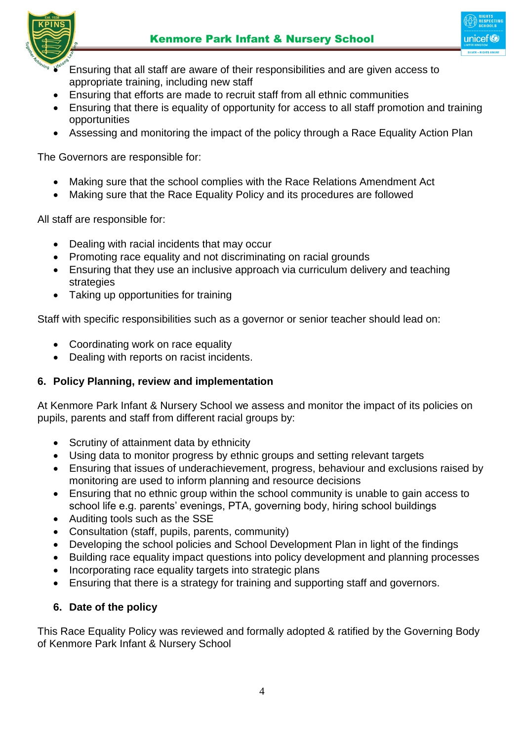

- Ensuring that all staff are aware of their responsibilities and are given access to appropriate training, including new staff
- Ensuring that efforts are made to recruit staff from all ethnic communities
- Ensuring that there is equality of opportunity for access to all staff promotion and training opportunities
- Assessing and monitoring the impact of the policy through a Race Equality Action Plan

The Governors are responsible for:

- Making sure that the school complies with the Race Relations Amendment Act
- Making sure that the Race Equality Policy and its procedures are followed

All staff are responsible for:

- Dealing with racial incidents that may occur
- Promoting race equality and not discriminating on racial grounds
- Ensuring that they use an inclusive approach via curriculum delivery and teaching strategies
- Taking up opportunities for training

Staff with specific responsibilities such as a governor or senior teacher should lead on:

- Coordinating work on race equality
- Dealing with reports on racist incidents.

#### **6. Policy Planning, review and implementation**

At Kenmore Park Infant & Nursery School we assess and monitor the impact of its policies on pupils, parents and staff from different racial groups by:

- Scrutiny of attainment data by ethnicity
- Using data to monitor progress by ethnic groups and setting relevant targets
- Ensuring that issues of underachievement, progress, behaviour and exclusions raised by monitoring are used to inform planning and resource decisions
- Ensuring that no ethnic group within the school community is unable to gain access to school life e.g. parents' evenings, PTA, governing body, hiring school buildings
- Auditing tools such as the SSE
- Consultation (staff, pupils, parents, community)
- Developing the school policies and School Development Plan in light of the findings
- Building race equality impact questions into policy development and planning processes
- Incorporating race equality targets into strategic plans
- Ensuring that there is a strategy for training and supporting staff and governors.

#### **6. Date of the policy**

This Race Equality Policy was reviewed and formally adopted & ratified by the Governing Body of Kenmore Park Infant & Nursery School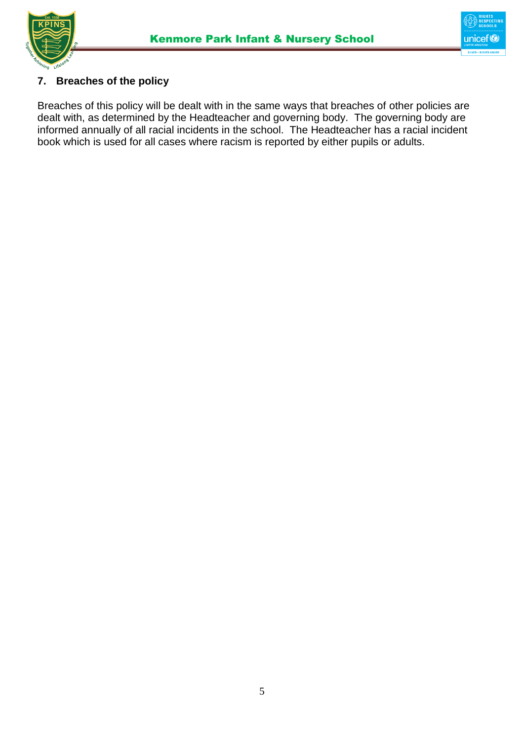



#### **7. Breaches of the policy**

Breaches of this policy will be dealt with in the same ways that breaches of other policies are dealt with, as determined by the Headteacher and governing body. The governing body are informed annually of all racial incidents in the school. The Headteacher has a racial incident book which is used for all cases where racism is reported by either pupils or adults.